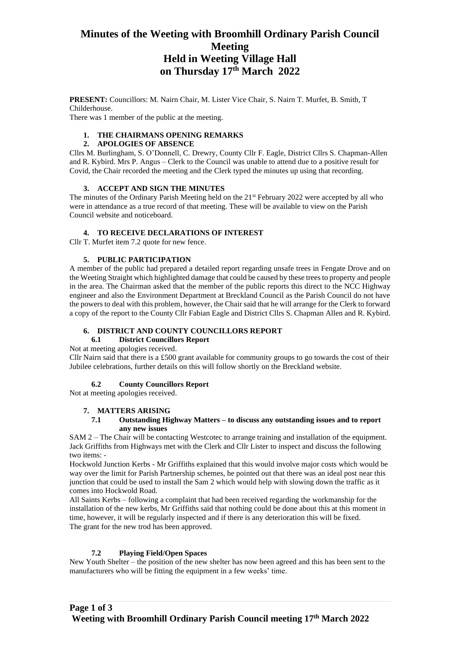# **Minutes of the Weeting with Broomhill Ordinary Parish Council Meeting Held in Weeting Village Hall on Thursday 17th March 2022**

**PRESENT:** Councillors: M. Nairn Chair, M. Lister Vice Chair, S. Nairn T. Murfet, B. Smith, T Childerhouse. There was 1 member of the public at the meeting.

# **1. THE CHAIRMANS OPENING REMARKS**

#### **2. APOLOGIES OF ABSENCE**

Cllrs M. Burlingham, S. O'Donnell, C. Drewry, County Cllr F. Eagle, District Cllrs S. Chapman-Allen and R. Kybird. Mrs P. Angus – Clerk to the Council was unable to attend due to a positive result for Covid, the Chair recorded the meeting and the Clerk typed the minutes up using that recording.

# **3. ACCEPT AND SIGN THE MINUTES**

The minutes of the Ordinary Parish Meeting held on the 21<sup>st</sup> February 2022 were accepted by all who were in attendance as a true record of that meeting. These will be available to view on the Parish Council website and noticeboard.

# **4. TO RECEIVE DECLARATIONS OF INTEREST**

Cllr T. Murfet item 7.2 quote for new fence.

# **5. PUBLIC PARTICIPATION**

A member of the public had prepared a detailed report regarding unsafe trees in Fengate Drove and on the Weeting Straight which highlighted damage that could be caused by these trees to property and people in the area. The Chairman asked that the member of the public reports this direct to the NCC Highway engineer and also the Environment Department at Breckland Council as the Parish Council do not have the powers to deal with this problem, however, the Chair said that he will arrange for the Clerk to forward a copy of the report to the County Cllr Fabian Eagle and District Cllrs S. Chapman Allen and R. Kybird.

# **6. DISTRICT AND COUNTY COUNCILLORS REPORT**

# **6.1 District Councillors Report**

Not at meeting apologies received.

Cllr Nairn said that there is a £500 grant available for community groups to go towards the cost of their Jubilee celebrations, further details on this will follow shortly on the Breckland website.

# **6.2 County Councillors Report**

Not at meeting apologies received.

#### **7. MATTERS ARISING**

#### **7.1 Outstanding Highway Matters – to discuss any outstanding issues and to report any new issues**

SAM 2 – The Chair will be contacting Westcotec to arrange training and installation of the equipment. Jack Griffiths from Highways met with the Clerk and Cllr Lister to inspect and discuss the following two items: -

Hockwold Junction Kerbs - Mr Griffiths explained that this would involve major costs which would be way over the limit for Parish Partnership schemes, he pointed out that there was an ideal post near this junction that could be used to install the Sam 2 which would help with slowing down the traffic as it comes into Hockwold Road.

All Saints Kerbs – following a complaint that had been received regarding the workmanship for the installation of the new kerbs, Mr Griffiths said that nothing could be done about this at this moment in time, however, it will be regularly inspected and if there is any deterioration this will be fixed. The grant for the new trod has been approved.

# **7.2 Playing Field/Open Spaces**

New Youth Shelter – the position of the new shelter has now been agreed and this has been sent to the manufacturers who will be fitting the equipment in a few weeks' time.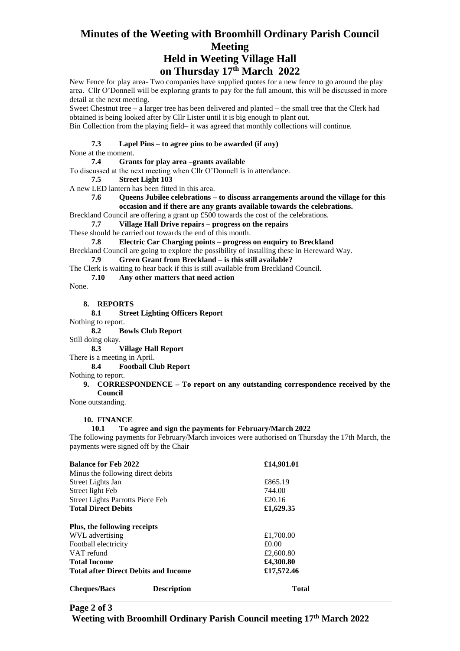# **Minutes of the Weeting with Broomhill Ordinary Parish Council Meeting Held in Weeting Village Hall**

# **on Thursday 17th March 2022**

New Fence for play area- Two companies have supplied quotes for a new fence to go around the play area. Cllr O'Donnell will be exploring grants to pay for the full amount, this will be discussed in more detail at the next meeting.

Sweet Chestnut tree – a larger tree has been delivered and planted – the small tree that the Clerk had obtained is being looked after by Cllr Lister until it is big enough to plant out.

Bin Collection from the playing field– it was agreed that monthly collections will continue.

#### **7.3 Lapel Pins – to agree pins to be awarded (if any)**

None at the moment.

#### **7.4 Grants for play area –grants available**

To discussed at the next meeting when Cllr O'Donnell is in attendance.

**7.5 Street Light 103** 

A new LED lantern has been fitted in this area.

#### **7.6 Queens Jubilee celebrations – to discuss arrangements around the village for this occasion and if there are any grants available towards the celebrations.**

Breckland Council are offering a grant up £500 towards the cost of the celebrations.

**7.7 Village Hall Drive repairs – progress on the repairs**

These should be carried out towards the end of this month.

**7.8 Electric Car Charging points – progress on enquiry to Breckland**

Breckland Council are going to explore the possibility of installing these in Hereward Way.

**7.9 Green Grant from Breckland – is this still available?**

The Clerk is waiting to hear back if this is still available from Breckland Council.

#### **7.10 Any other matters that need action**

None.

#### **8. REPORTS**

**8.1 Street Lighting Officers Report** 

Nothing to report.

**8.2 Bowls Club Report**

Still doing okay.

**8.3 Village Hall Report**

There is a meeting in April.

**8.4 Football Club Report**

Nothing to report.

#### **9. CORRESPONDENCE – To report on any outstanding correspondence received by the Council**

None outstanding.

# **10. FINANCE**

# **10.1 To agree and sign the payments for February/March 2022**

The following payments for February/March invoices were authorised on Thursday the 17th March, the payments were signed off by the Chair

| <b>Balance for Feb 2022</b>                 | £14,901.01   |  |
|---------------------------------------------|--------------|--|
| Minus the following direct debits           |              |  |
| Street Lights Jan                           | £865.19      |  |
| Street light Feb                            | 744.00       |  |
| <b>Street Lights Parrotts Piece Feb</b>     | £20.16       |  |
| <b>Total Direct Debits</b>                  | £1,629.35    |  |
| Plus, the following receipts                |              |  |
| WVL advertising                             | £1,700.00    |  |
| Football electricity                        | £0.00        |  |
| VAT refund                                  | £2,600.80    |  |
| <b>Total Income</b>                         | £4,300.80    |  |
| <b>Total after Direct Debits and Income</b> | £17,572.46   |  |
| <b>Description</b><br><b>Cheques/Bacs</b>   | <b>Total</b> |  |